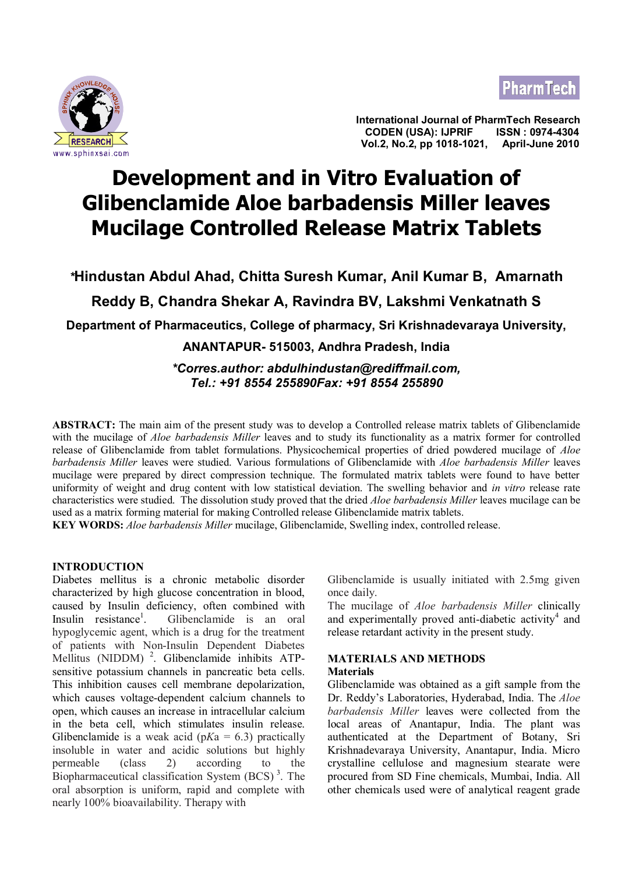



**International Journal of PharmTech Research CODEN (USA): IJPRIF <u>ERESEARCH States and the set of the set of the set of the vol.2, No.2, pp 1018-1021, April-June 2010**<br>Www.sphinxsai.com</u>

# **Development and in Vitro Evaluation of Glibenclamide Aloe barbadensis Miller leaves Mucilage Controlled Release Matrix Tablets**

*\****Hindustan Abdul Ahad, Chitta Suresh Kumar, Anil Kumar B, Amarnath Reddy B, Chandra Shekar A, Ravindra BV, Lakshmi Venkatnath S**

**Department of Pharmaceutics, College of pharmacy, Sri Krishnadevaraya University,**

**ANANTAPUR- 515003, Andhra Pradesh, India**

*\*Corres.author: abdulhindustan@rediffmail.com, Tel.: +91 8554 255890Fax: +91 8554 255890*

**ABSTRACT:** The main aim of the present study was to develop a Controlled release matrix tablets of Glibenclamide with the mucilage of *Aloe barbadensis Miller* leaves and to study its functionality as a matrix former for controlled release of Glibenclamide from tablet formulations. Physicochemical properties of dried powdered mucilage of *Aloe barbadensis Miller* leaves were studied. Various formulations of Glibenclamide with *Aloe barbadensis Miller* leaves mucilage were prepared by direct compression technique. The formulated matrix tablets were found to have better uniformity of weight and drug content with low statistical deviation. The swelling behavior and *in vitro* release rate characteristics were studied. The dissolution study proved that the dried *Aloe barbadensis Miller* leaves mucilage can be used as a matrix forming material for making Controlled release Glibenclamide matrix tablets.

**KEY WORDS:** *Aloe barbadensis Miller* mucilage, Glibenclamide, Swelling index, controlled release.

# **INTRODUCTION**

Diabetes mellitus is a chronic metabolic disorder characterized by high glucose concentration in blood, caused by Insulin deficiency, often combined with Insulin  $resistance<sup>1</sup>$ . . Glibenclamide is an oral hypoglycemic agent, which is a drug for the treatment of patients with Non-Insulin Dependent Diabetes Mellitus (NIDDM)<sup>2</sup>. Glibenclamide inhibits ATPsensitive potassium channels in pancreatic beta cells. This inhibition causes cell membrane depolarization, which causes voltage-dependent calcium channels to open, which causes an increase in intracellular calcium in the beta cell, which stimulates insulin release. Glibenclamide is a weak acid  $(pKa = 6.3)$  practically insoluble in water and acidic solutions but highly permeable (class 2) according to the Biopharmaceutical classification System  $(BCS)$ <sup>3</sup>. The oral absorption is uniform, rapid and complete with nearly 100% bioavailability. Therapy with

Glibenclamide is usually initiated with 2.5mg given once daily.

The mucilage of *Aloe barbadensis Miller* clinically and experimentally proved anti-diabetic activity<sup>4</sup> and release retardant activity in the present study.

#### **MATERIALS AND METHODS Materials**

Glibenclamide was obtained as a gift sample from the Dr. Reddy's Laboratories, Hyderabad, India. The *Aloe barbadensis Miller* leaves were collected from the local areas of Anantapur, India. The plant was authenticated at the Department of Botany, Sri Krishnadevaraya University, Anantapur, India. Micro crystalline cellulose and magnesium stearate were procured from SD Fine chemicals, Mumbai, India. All other chemicals used were of analytical reagent grade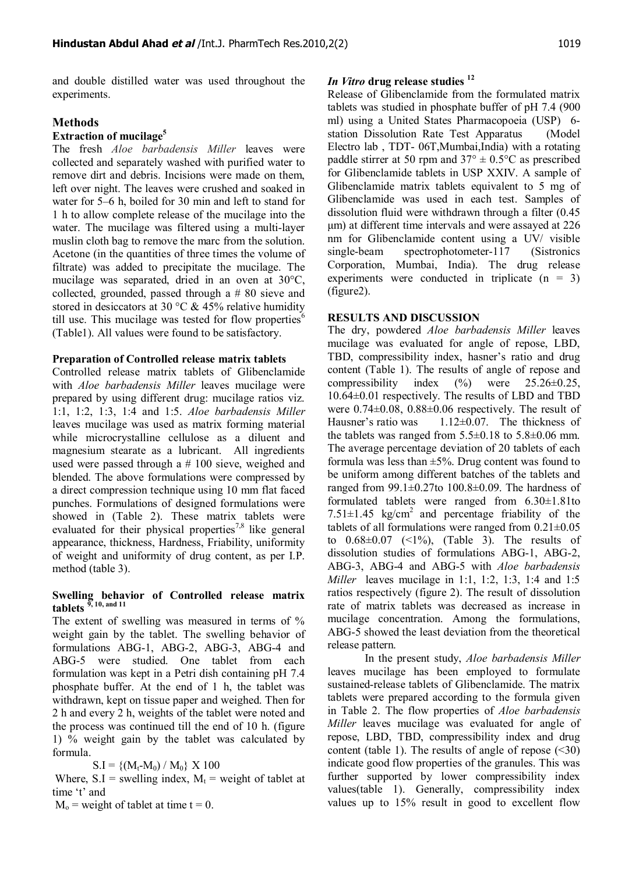and double distilled water was used throughout the experiments.

# **Methods**

## **Extraction of mucilage<sup>5</sup>**

The fresh *Aloe barbadensis Miller* leaves were collected and separately washed with purified water to remove dirt and debris. Incisions were made on them, left over night. The leaves were crushed and soaked in water for 5–6 h, boiled for 30 min and left to stand for 1 h to allow complete release of the mucilage into the water. The mucilage was filtered using a multi-layer muslin cloth bag to remove the marc from the solution. Acetone (in the quantities of three times the volume of filtrate) was added to precipitate the mucilage. The mucilage was separated, dried in an oven at 30°C, collected, grounded, passed through a # 80 sieve and stored in desiccators at 30  $\degree$ C & 45% relative humidity till use. This mucilage was tested for flow properties $\mathbf{S}^{\mathsf{c}}$ (Table1). All values were found to be satisfactory.

#### **Preparation of Controlled release matrix tablets**

Controlled release matrix tablets of Glibenclamide with *Aloe barbadensis Miller* leaves mucilage were prepared by using different drug: mucilage ratios viz. 1:1, 1:2, 1:3, 1:4 and 1:5. *Aloe barbadensis Miller* leaves mucilage was used as matrix forming material while microcrystalline cellulose as a diluent and magnesium stearate as a lubricant. All ingredients used were passed through a # 100 sieve, weighed and blended. The above formulations were compressed by a direct compression technique using 10 mm flat faced punches. Formulations of designed formulations were showed in (Table 2). These matrix tablets were evaluated for their physical properties<sup>7,8</sup> like general appearance, thickness, Hardness, Friability, uniformity of weight and uniformity of drug content, as per I.P. method (table 3).

# **Swelling behavior of Controlled release matrix tablets 9, 10, and 11**

The extent of swelling was measured in terms of % weight gain by the tablet. The swelling behavior of formulations ABG-1, ABG-2, ABG-3, ABG-4 and ABG-5 were studied. One tablet from each formulation was kept in a Petri dish containing pH 7.4 phosphate buffer. At the end of 1 h, the tablet was withdrawn, kept on tissue paper and weighed. Then for 2 h and every 2 h, weights of the tablet were noted and the process was continued till the end of 10 h. (figure 1) % weight gain by the tablet was calculated by formula.

 $S.I = \{(M_t-M_0) / M_0\} \times 100$ 

Where,  $S.I =$  swelling index,  $M_t =$  weight of tablet at time 't' and

 $M_0$  = weight of tablet at time t = 0.

# *In Vitro* **drug release studies <sup>12</sup>**

Release of Glibenclamide from the formulated matrix tablets was studied in phosphate buffer of pH 7.4 (900 ml) using a United States Pharmacopoeia (USP) 6 station Dissolution Rate Test Apparatus (Model Electro lab , TDT- 06T,Mumbai,India) with a rotating paddle stirrer at 50 rpm and  $37^{\circ} \pm 0.5^{\circ}$ C as prescribed for Glibenclamide tablets in USP XXIV. A sample of Glibenclamide matrix tablets equivalent to 5 mg of Glibenclamide was used in each test. Samples of dissolution fluid were withdrawn through a filter (0.45 μm) at different time intervals and were assayed at 226 nm for Glibenclamide content using a UV/ visible single-beam spectrophotometer-117 (Sistronics Corporation, Mumbai, India). The drug release experiments were conducted in triplicate  $(n = 3)$ (figure2).

#### **RESULTS AND DISCUSSION**

The dry, powdered *Aloe barbadensis Miller* leaves mucilage was evaluated for angle of repose, LBD, TBD, compressibility index, hasner's ratio and drug content (Table 1). The results of angle of repose and compressibility index  $(\%)$  were  $25.26 \pm 0.25$ , 10.64±0.01 respectively. The results of LBD and TBD were 0.74±0.08, 0.88±0.06 respectively. The result of Hausner's ratio was 1.12±0.07. The thickness of the tablets was ranged from  $5.5\pm0.18$  to  $5.8\pm0.06$  mm. The average percentage deviation of 20 tablets of each formula was less than  $\pm$ 5%. Drug content was found to be uniform among different batches of the tablets and ranged from  $99.1\pm0.27$ to  $100.8\pm0.09$ . The hardness of formulated tablets were ranged from 6.30±1.81to 7.51 $\pm$ 1.45 kg/cm<sup>2</sup> and percentage friability of the tablets of all formulations were ranged from  $0.21 \pm 0.05$ to  $0.68 \pm 0.07$  (<1%), (Table 3). The results of dissolution studies of formulations ABG-1, ABG-2, ABG-3, ABG-4 and ABG-5 with *Aloe barbadensis Miller* leaves mucilage in 1:1, 1:2, 1:3, 1:4 and 1:5 ratios respectively (figure 2). The result of dissolution rate of matrix tablets was decreased as increase in mucilage concentration. Among the formulations, ABG-5 showed the least deviation from the theoretical release pattern.

In the present study, *Aloe barbadensis Miller* leaves mucilage has been employed to formulate sustained-release tablets of Glibenclamide. The matrix tablets were prepared according to the formula given in Table 2. The flow properties of *Aloe barbadensis Miller* leaves mucilage was evaluated for angle of repose, LBD, TBD, compressibility index and drug content (table 1). The results of angle of repose  $(\leq 30)$ indicate good flow properties of the granules. This was further supported by lower compressibility index values(table 1). Generally, compressibility index values up to 15% result in good to excellent flow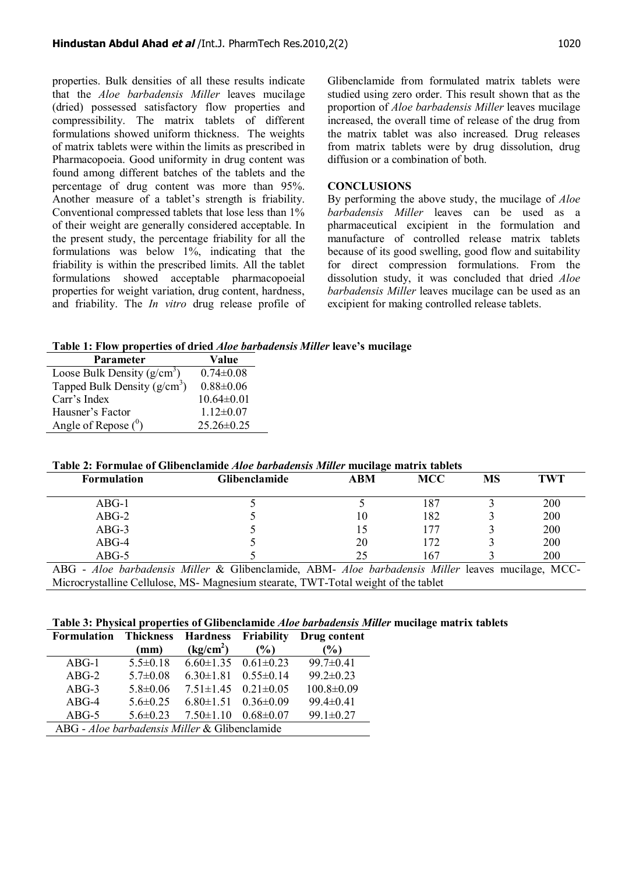properties. Bulk densities of all these results indicate that the *Aloe barbadensis Miller* leaves mucilage (dried) possessed satisfactory flow properties and compressibility. The matrix tablets of different formulations showed uniform thickness. The weights of matrix tablets were within the limits as prescribed in Pharmacopoeia. Good uniformity in drug content was found among different batches of the tablets and the percentage of drug content was more than 95%. Another measure of a tablet's strength is friability. Conventional compressed tablets that lose less than 1% of their weight are generally considered acceptable. In the present study, the percentage friability for all the formulations was below 1%, indicating that the friability is within the prescribed limits. All the tablet formulations showed acceptable pharmacopoeial properties for weight variation, drug content, hardness, and friability. The *In vitro* drug release profile of Glibenclamide from formulated matrix tablets were studied using zero order. This result shown that as the proportion of *Aloe barbadensis Miller* leaves mucilage increased, the overall time of release of the drug from the matrix tablet was also increased. Drug releases from matrix tablets were by drug dissolution, drug diffusion or a combination of both.

# **CONCLUSIONS**

By performing the above study, the mucilage of *Aloe barbadensis Miller* leaves can be used as a pharmaceutical excipient in the formulation and manufacture of controlled release matrix tablets because of its good swelling, good flow and suitability for direct compression formulations. From the dissolution study, it was concluded that dried *Aloe barbadensis Miller* leaves mucilage can be used as an excipient for making controlled release tablets.

**Table 1: Flow properties of dried** *Aloe barbadensis Miller* **leave's mucilage**

| <b>Parameter</b>              | Value            |
|-------------------------------|------------------|
| Loose Bulk Density $(g/cm^3)$ | $0.74 \pm 0.08$  |
| Tapped Bulk Density $(g/cm3)$ | $0.88 \pm 0.06$  |
| Carr's Index                  | $10.64 \pm 0.01$ |
| Hausner's Factor              | $1.12 \pm 0.07$  |
| Angle of Repose $(0)$         | $25.26 \pm 0.25$ |

**Table 2: Formulae of Glibenclamide** *Aloe barbadensis Miller* **mucilage matrix tablets**

| <b>Formulation</b>                                                                                | <b>Glibenclamide</b> | <b>ABM</b> | <b>MCC</b> | MS | TWT |  |  |  |
|---------------------------------------------------------------------------------------------------|----------------------|------------|------------|----|-----|--|--|--|
| $ABG-1$                                                                                           |                      |            | 187        |    | 200 |  |  |  |
| $ABG-2$                                                                                           |                      | 10         | 182        |    | 200 |  |  |  |
| $ABG-3$                                                                                           |                      |            | 177        |    | 200 |  |  |  |
| $ABG-4$                                                                                           |                      | 20         | 172        |    | 200 |  |  |  |
| $ABG-5$                                                                                           |                      | 25         | 167        |    | 200 |  |  |  |
| ABG - Aloe barbadensis Miller & Glibenclamide, ABM- Aloe barbadensis Miller leaves mucilage, MCC- |                      |            |            |    |     |  |  |  |

Microcrystalline Cellulose, MS- Magnesium stearate, TWT-Total weight of the tablet

# **Table 3: Physical properties of Glibenclamide** *Aloe barbadensis Miller* **mucilage matrix tablets**

| <b>Formulation</b>                            | <b>Thickness</b> | <b>Hardness</b>                 | Friability      | Drug content     |  |
|-----------------------------------------------|------------------|---------------------------------|-----------------|------------------|--|
|                                               | (mm)             | (kg/cm <sup>2</sup> )           | (%)             | $\frac{1}{2}$    |  |
| $ABG-1$                                       | $5.5 \pm 0.18$   | $6.60 \pm 1.35$ $0.61 \pm 0.23$ |                 | $99.7 \pm 0.41$  |  |
| $ABG-2$                                       | $5.7 \pm 0.08$   | $6.30 \pm 1.81$                 | $0.55 \pm 0.14$ | $99.2 \pm 0.23$  |  |
| $ABG-3$                                       | $5.8 \pm 0.06$   | $7.51 \pm 1.45$                 | $0.21 \pm 0.05$ | $100.8 \pm 0.09$ |  |
| $ABG-4$                                       | $5.6 \pm 0.25$   | $6.80 \pm 1.51$                 | $0.36 \pm 0.09$ | $99.4 \pm 0.41$  |  |
| $ABG-5$                                       | $5.6 \pm 0.23$   | $7.50 \pm 1.10$                 | $0.68 \pm 0.07$ | $99.1 \pm 0.27$  |  |
| ABG - Aloe barbadensis Miller & Glibenclamide |                  |                                 |                 |                  |  |